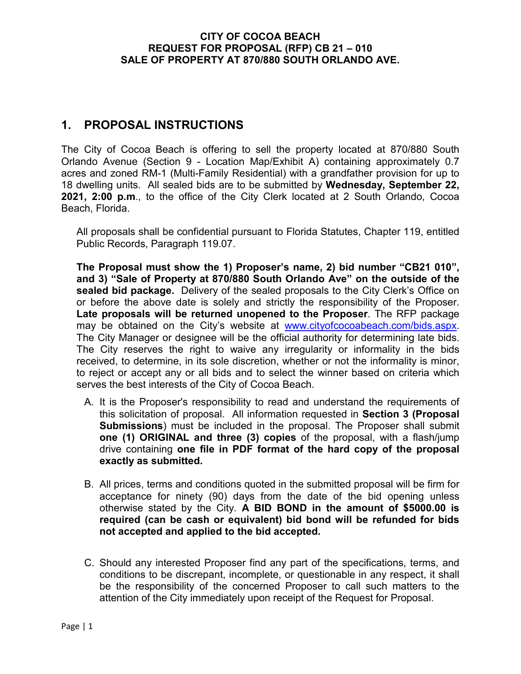### **1. PROPOSAL INSTRUCTIONS**

The City of Cocoa Beach is offering to sell the property located at 870/880 South Orlando Avenue (Section 9 - Location Map/Exhibit A) containing approximately 0.7 acres and zoned RM-1 (Multi-Family Residential) with a grandfather provision for up to 18 dwelling units. All sealed bids are to be submitted by **Wednesday, September 22, 2021, 2:00 p.m**., to the office of the City Clerk located at 2 South Orlando, Cocoa Beach, Florida.

All proposals shall be confidential pursuant to Florida Statutes, Chapter 119, entitled Public Records, Paragraph 119.07.

**The Proposal must show the 1) Proposer's name, 2) bid number "CB21 010", and 3) "Sale of Property at 870/880 South Orlando Ave" on the outside of the sealed bid package.** Delivery of the sealed proposals to the City Clerk's Office on or before the above date is solely and strictly the responsibility of the Proposer. **Late proposals will be returned unopened to the Proposer**. The RFP package may be obtained on the City's website at [www.cityofcocoabeach.com/bids.aspx.](http://www.cityofcocoabeach.com/bids.aspx) The City Manager or designee will be the official authority for determining late bids. The City reserves the right to waive any irregularity or informality in the bids received, to determine, in its sole discretion, whether or not the informality is minor, to reject or accept any or all bids and to select the winner based on criteria which serves the best interests of the City of Cocoa Beach.

- A. It is the Proposer's responsibility to read and understand the requirements of this solicitation of proposal. All information requested in **Section 3 (Proposal Submissions**) must be included in the proposal. The Proposer shall submit **one (1) ORIGINAL and three (3) copies** of the proposal, with a flash/jump drive containing **one file in PDF format of the hard copy of the proposal exactly as submitted.**
- B. All prices, terms and conditions quoted in the submitted proposal will be firm for acceptance for ninety (90) days from the date of the bid opening unless otherwise stated by the City. **A BID BOND in the amount of \$5000.00 is required (can be cash or equivalent) bid bond will be refunded for bids not accepted and applied to the bid accepted.**
- C. Should any interested Proposer find any part of the specifications, terms, and conditions to be discrepant, incomplete, or questionable in any respect, it shall be the responsibility of the concerned Proposer to call such matters to the attention of the City immediately upon receipt of the Request for Proposal.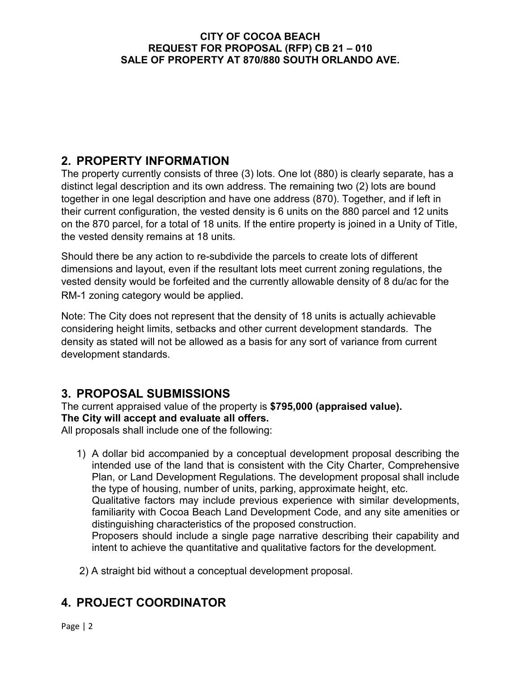# **2. PROPERTY INFORMATION**

The property currently consists of three (3) lots. One lot (880) is clearly separate, has a distinct legal description and its own address. The remaining two (2) lots are bound together in one legal description and have one address (870). Together, and if left in their current configuration, the vested density is 6 units on the 880 parcel and 12 units on the 870 parcel, for a total of 18 units. If the entire property is joined in a Unity of Title, the vested density remains at 18 units.

Should there be any action to re-subdivide the parcels to create lots of different dimensions and layout, even if the resultant lots meet current zoning regulations, the vested density would be forfeited and the currently allowable density of 8 du/ac for the RM-1 zoning category would be applied.

Note: The City does not represent that the density of 18 units is actually achievable considering height limits, setbacks and other current development standards. The density as stated will not be allowed as a basis for any sort of variance from current development standards.

# **3. PROPOSAL SUBMISSIONS**

The current appraised value of the property is **\$795,000 (appraised value). The City will accept and evaluate all offers.**

All proposals shall include one of the following:

1) A dollar bid accompanied by a conceptual development proposal describing the intended use of the land that is consistent with the City Charter, Comprehensive Plan, or Land Development Regulations. The development proposal shall include the type of housing, number of units, parking, approximate height, etc. Qualitative factors may include previous experience with similar developments,

familiarity with Cocoa Beach Land Development Code, and any site amenities or distinguishing characteristics of the proposed construction.

Proposers should include a single page narrative describing their capability and intent to achieve the quantitative and qualitative factors for the development.

2) A straight bid without a conceptual development proposal.

# **4. PROJECT COORDINATOR**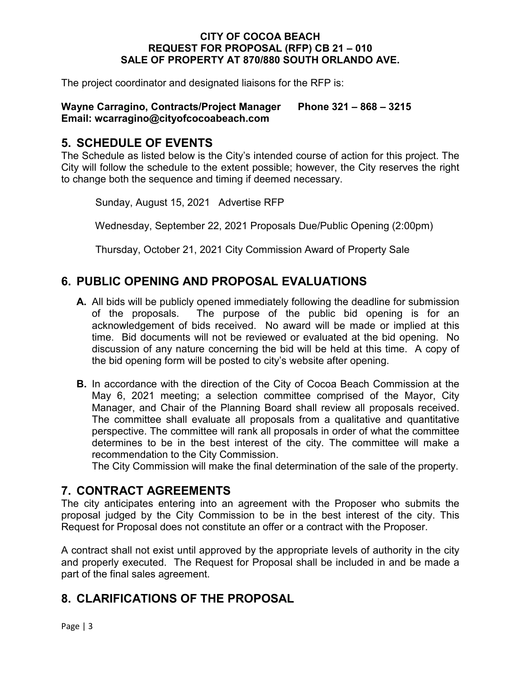The project coordinator and designated liaisons for the RFP is:

### **Wayne Carragino, Contracts/Project Manager Phone 321 – 868 – 3215 Email: wcarragino@cityofcocoabeach.com**

### **5. SCHEDULE OF EVENTS**

The Schedule as listed below is the City's intended course of action for this project. The City will follow the schedule to the extent possible; however, the City reserves the right to change both the sequence and timing if deemed necessary.

Sunday, August 15, 2021 Advertise RFP

Wednesday, September 22, 2021 Proposals Due/Public Opening (2:00pm)

Thursday, October 21, 2021 City Commission Award of Property Sale

## **6. PUBLIC OPENING AND PROPOSAL EVALUATIONS**

- **A.** All bids will be publicly opened immediately following the deadline for submission of the proposals. The purpose of the public bid opening is for an acknowledgement of bids received. No award will be made or implied at this time. Bid documents will not be reviewed or evaluated at the bid opening. No discussion of any nature concerning the bid will be held at this time. A copy of the bid opening form will be posted to city's website after opening.
- **B.** In accordance with the direction of the City of Cocoa Beach Commission at the May 6, 2021 meeting; a selection committee comprised of the Mayor, City Manager, and Chair of the Planning Board shall review all proposals received. The committee shall evaluate all proposals from a qualitative and quantitative perspective. The committee will rank all proposals in order of what the committee determines to be in the best interest of the city. The committee will make a recommendation to the City Commission.

The City Commission will make the final determination of the sale of the property.

### **7. CONTRACT AGREEMENTS**

The city anticipates entering into an agreement with the Proposer who submits the proposal judged by the City Commission to be in the best interest of the city. This Request for Proposal does not constitute an offer or a contract with the Proposer.

A contract shall not exist until approved by the appropriate levels of authority in the city and properly executed. The Request for Proposal shall be included in and be made a part of the final sales agreement.

### **8. CLARIFICATIONS OF THE PROPOSAL**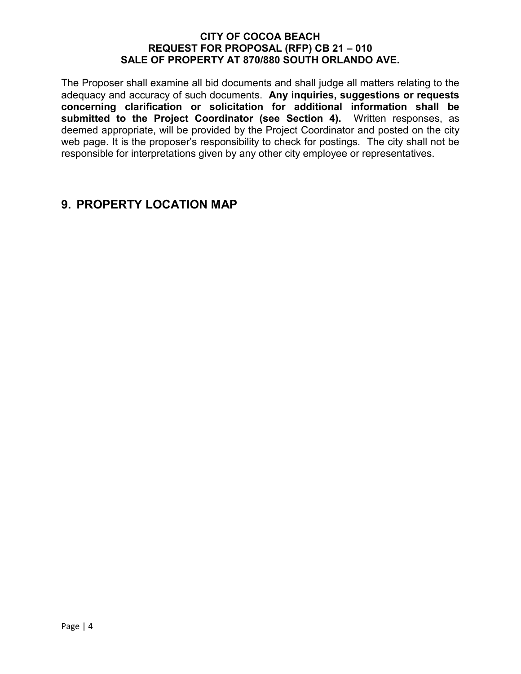The Proposer shall examine all bid documents and shall judge all matters relating to the adequacy and accuracy of such documents. **Any inquiries, suggestions or requests concerning clarification or solicitation for additional information shall be submitted to the Project Coordinator (see Section 4).** Written responses, as deemed appropriate, will be provided by the Project Coordinator and posted on the city web page. It is the proposer's responsibility to check for postings. The city shall not be responsible for interpretations given by any other city employee or representatives.

### **9. PROPERTY LOCATION MAP**